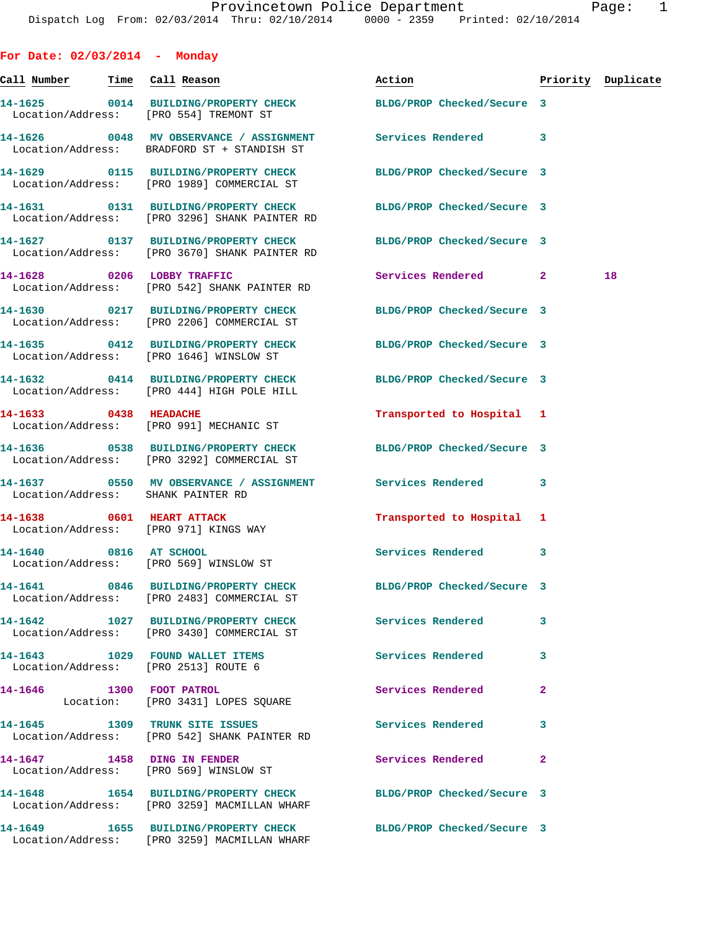**For Date: 02/03/2014 - Monday Call Number Time Call Reason Action Priority Duplicate 14-1625 0014 BUILDING/PROPERTY CHECK BLDG/PROP Checked/Secure 3**  Location/Address: [PRO 554] TREMONT ST **14-1626 0048 MV OBSERVANCE / ASSIGNMENT Services Rendered 3**  Location/Address: BRADFORD ST + STANDISH ST **14-1629 0115 BUILDING/PROPERTY CHECK BLDG/PROP Checked/Secure 3**  Location/Address: [PRO 1989] COMMERCIAL ST **14-1631 0131 BUILDING/PROPERTY CHECK BLDG/PROP Checked/Secure 3**  Location/Address: [PRO 3296] SHANK PAINTER RD **14-1627 0137 BUILDING/PROPERTY CHECK BLDG/PROP Checked/Secure 3**  Location/Address: [PRO 3670] SHANK PAINTER RD **14-1628 0206 LOBBY TRAFFIC Services Rendered 2 18**  Location/Address: [PRO 542] SHANK PAINTER RD **14-1630 0217 BUILDING/PROPERTY CHECK BLDG/PROP Checked/Secure 3**  Location/Address: [PRO 2206] COMMERCIAL ST **14-1635 0412 BUILDING/PROPERTY CHECK BLDG/PROP Checked/Secure 3**  Location/Address: [PRO 1646] WINSLOW ST **14-1632 0414 BUILDING/PROPERTY CHECK BLDG/PROP Checked/Secure 3**  Location/Address: [PRO 444] HIGH POLE HILL **14-1633 0438 HEADACHE Transported to Hospital 1**  Location/Address: [PRO 991] MECHANIC ST **14-1636 0538 BUILDING/PROPERTY CHECK BLDG/PROP Checked/Secure 3**  Location/Address: [PRO 3292] COMMERCIAL ST **14-1637 0550 MV OBSERVANCE / ASSIGNMENT Services Rendered 3**  Location/Address: SHANK PAINTER RD **14-1638 0601 HEART ATTACK Transported to Hospital 1**  Location/Address: [PRO 971] KINGS WAY **14-1640 0816 AT SCHOOL Services Rendered 3**  Location/Address: [PRO 569] WINSLOW ST **14-1641 0846 BUILDING/PROPERTY CHECK BLDG/PROP Checked/Secure 3**  Location/Address: [PRO 2483] COMMERCIAL ST **14-1642 1027 BUILDING/PROPERTY CHECK Services Rendered 3**  Location/Address: [PRO 3430] COMMERCIAL ST **14-1643 1029 FOUND WALLET ITEMS Services Rendered 3**  Location/Address: [PRO 2513] ROUTE 6 **14-1646 1300 FOOT PATROL Services Rendered 2**  Location: [PRO 3431] LOPES SQUARE **14-1645 1309 TRUNK SITE ISSUES Services Rendered 3**  Location/Address: [PRO 542] SHANK PAINTER RD **14-1647 1458 DING IN FENDER Services Rendered 2**  Location/Address: [PRO 569] WINSLOW ST **14-1648 1654 BUILDING/PROPERTY CHECK BLDG/PROP Checked/Secure 3** 

Location/Address: [PRO 3259] MACMILLAN WHARF

Location/Address: [PRO 3259] MACMILLAN WHARF

**14-1649 1655 BUILDING/PROPERTY CHECK BLDG/PROP Checked/Secure 3**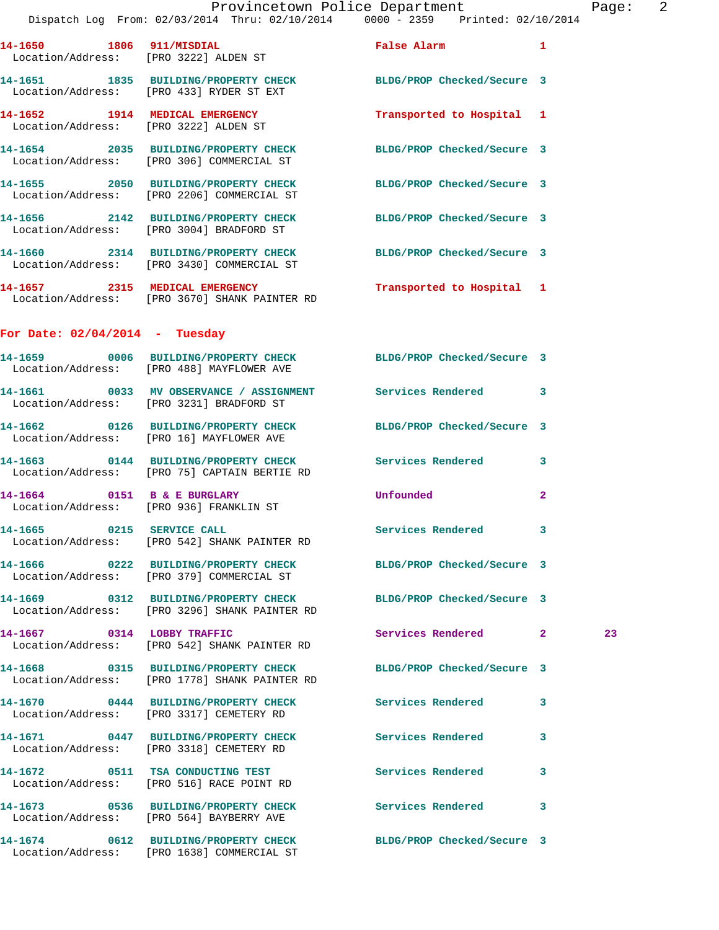Dispatch Log From: 02/03/2014 Thru: 02/10/2014 0000 - 2359 Printed: 02/10/2014 **14-1650 1806 911/MISDIAL False Alarm 1**  Location/Address: [PRO 3222] ALDEN ST **14-1651 1835 BUILDING/PROPERTY CHECK BLDG/PROP Checked/Secure 3**  Location/Address: [PRO 433] RYDER ST EXT **14-1652 1914 MEDICAL EMERGENCY Transported to Hospital 1**  Location/Address: [PRO 3222] ALDEN ST **14-1654 2035 BUILDING/PROPERTY CHECK BLDG/PROP Checked/Secure 3**  Location/Address: [PRO 306] COMMERCIAL ST **14-1655 2050 BUILDING/PROPERTY CHECK BLDG/PROP Checked/Secure 3**  Location/Address: [PRO 2206] COMMERCIAL ST **14-1656 2142 BUILDING/PROPERTY CHECK BLDG/PROP Checked/Secure 3**  Location/Address: [PRO 3004] BRADFORD ST **14-1660 2314 BUILDING/PROPERTY CHECK BLDG/PROP Checked/Secure 3**  Location/Address: [PRO 3430] COMMERCIAL ST **14-1657 2315 MEDICAL EMERGENCY Transported to Hospital 1**  Location/Address: [PRO 3670] SHANK PAINTER RD **For Date: 02/04/2014 - Tuesday 14-1659 0006 BUILDING/PROPERTY CHECK BLDG/PROP Checked/Secure 3**  Location/Address: [PRO 488] MAYFLOWER AVE **14-1661 0033 MV OBSERVANCE / ASSIGNMENT Services Rendered 3**  Location/Address: [PRO 3231] BRADFORD ST **14-1662 0126 BUILDING/PROPERTY CHECK BLDG/PROP Checked/Secure 3**  Location/Address: [PRO 16] MAYFLOWER AVE **14-1663 0144 BUILDING/PROPERTY CHECK Services Rendered 3**  Location/Address: [PRO 75] CAPTAIN BERTIE RD **14-1664 0151 B & E BURGLARY Unfounded 2**  Location/Address: [PRO 936] FRANKLIN ST **14-1665 0215 SERVICE CALL Services Rendered 3**  Location/Address: [PRO 542] SHANK PAINTER RD **14-1666 0222 BUILDING/PROPERTY CHECK BLDG/PROP Checked/Secure 3**  Location/Address: [PRO 379] COMMERCIAL ST **14-1669 0312 BUILDING/PROPERTY CHECK BLDG/PROP Checked/Secure 3**  Location/Address: [PRO 3296] SHANK PAINTER RD **14-1667 0314 LOBBY TRAFFIC Services Rendered 2 23**  Location/Address: [PRO 542] SHANK PAINTER RD **14-1668 0315 BUILDING/PROPERTY CHECK BLDG/PROP Checked/Secure 3**  Location/Address: [PRO 1778] SHANK PAINTER RD **14-1670 0444 BUILDING/PROPERTY CHECK Services Rendered 3**  Location/Address: [PRO 3317] CEMETERY RD **14-1671 0447 BUILDING/PROPERTY CHECK Services Rendered 3**  Location/Address: [PRO 3318] CEMETERY RD **14-1672 0511 TSA CONDUCTING TEST Services Rendered 3**  Location/Address: [PRO 516] RACE POINT RD **14-1673 0536 BUILDING/PROPERTY CHECK Services Rendered 3**  Location/Address: [PRO 564] BAYBERRY AVE **14-1674 0612 BUILDING/PROPERTY CHECK BLDG/PROP Checked/Secure 3**  Location/Address: [PRO 1638] COMMERCIAL ST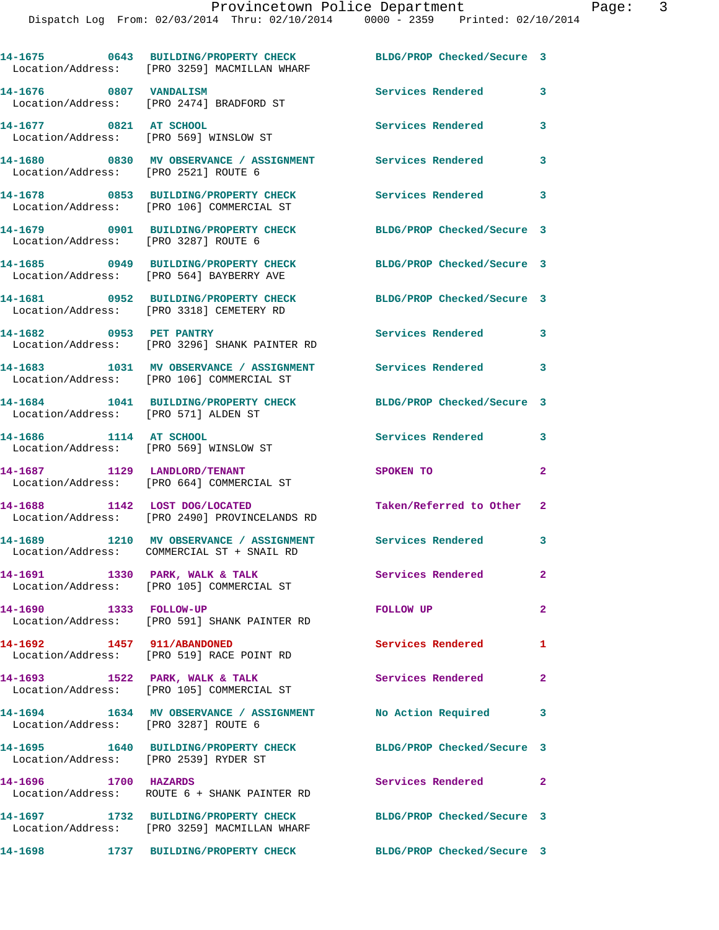|                                       | 14-1675 0643 BUILDING/PROPERTY CHECK<br>Location/Address: [PRO 3259] MACMILLAN WHARF  | BLDG/PROP Checked/Secure 3 |                |
|---------------------------------------|---------------------------------------------------------------------------------------|----------------------------|----------------|
| 14-1676 0807 VANDALISM                | Location/Address: [PRO 2474] BRADFORD ST                                              | Services Rendered          | 3              |
| 14-1677 0821 AT SCHOOL                | Location/Address: [PRO 569] WINSLOW ST                                                | Services Rendered          | 3              |
| Location/Address: [PRO 2521] ROUTE 6  | 14-1680 6830 MV OBSERVANCE / ASSIGNMENT Services Rendered                             |                            | 3              |
|                                       | 14-1678 0853 BUILDING/PROPERTY CHECK<br>Location/Address: [PRO 106] COMMERCIAL ST     | Services Rendered          | 3              |
| Location/Address: [PRO 3287] ROUTE 6  | 14-1679 0901 BUILDING/PROPERTY CHECK                                                  | BLDG/PROP Checked/Secure 3 |                |
|                                       | 14-1685 0949 BUILDING/PROPERTY CHECK<br>Location/Address: [PRO 564] BAYBERRY AVE      | BLDG/PROP Checked/Secure 3 |                |
|                                       | 14-1681 0952 BUILDING/PROPERTY CHECK<br>Location/Address: [PRO 3318] CEMETERY RD      | BLDG/PROP Checked/Secure 3 |                |
| 14-1682 0953 PET PANTRY               | Location/Address: [PRO 3296] SHANK PAINTER RD                                         | Services Rendered          | 3              |
|                                       | 14-1683 1031 MV OBSERVANCE / ASSIGNMENT<br>Location/Address: [PRO 106] COMMERCIAL ST  | Services Rendered 3        |                |
| Location/Address: [PRO 571] ALDEN ST  | 14-1684 1041 BUILDING/PROPERTY CHECK                                                  | BLDG/PROP Checked/Secure 3 |                |
| 14-1686 1114 AT SCHOOL                | Location/Address: [PRO 569] WINSLOW ST                                                | Services Rendered          | 3              |
|                                       | 14-1687 1129 LANDLORD/TENANT<br>Location/Address: [PRO 664] COMMERCIAL ST             | SPOKEN TO                  | $\overline{a}$ |
| 14-1688 1142 LOST DOG/LOCATED         | Location/Address: [PRO 2490] PROVINCELANDS RD                                         | Taken/Referred to Other    | 2              |
|                                       | 14-1689 1210 MV OBSERVANCE / ASSIGNMENT<br>Location/Address: COMMERCIAL ST + SNAIL RD | Services Rendered 3        |                |
|                                       | 14-1691 1330 PARK, WALK & TALK<br>Location/Address: [PRO 105] COMMERCIAL ST           | <b>Services Rendered</b>   | $\mathbf{2}$   |
| 14-1690 1333 FOLLOW-UP                | Location/Address: [PRO 591] SHANK PAINTER RD                                          | FOLLOW UP                  | $\mathbf{2}$   |
| 14-1692 1457 911/ABANDONED            | Location/Address: [PRO 519] RACE POINT RD                                             | Services Rendered          | $\mathbf{1}$   |
|                                       | 14-1693 1522 PARK, WALK & TALK<br>Location/Address: [PRO 105] COMMERCIAL ST           | Services Rendered          | $\mathbf{2}$   |
| Location/Address: [PRO 3287] ROUTE 6  | 14-1694 1634 MV OBSERVANCE / ASSIGNMENT No Action Required                            |                            | 3              |
| Location/Address: [PRO 2539] RYDER ST | 14-1695 1640 BUILDING/PROPERTY CHECK                                                  | BLDG/PROP Checked/Secure 3 |                |
| 14-1696 1700 HAZARDS                  | Location/Address: ROUTE 6 + SHANK PAINTER RD                                          | Services Rendered 2        |                |
|                                       | 14-1697 1732 BUILDING/PROPERTY CHECK<br>Location/Address: [PRO 3259] MACMILLAN WHARF  | BLDG/PROP Checked/Secure 3 |                |
|                                       | 14-1698 1737 BUILDING/PROPERTY CHECK                                                  | BLDG/PROP Checked/Secure 3 |                |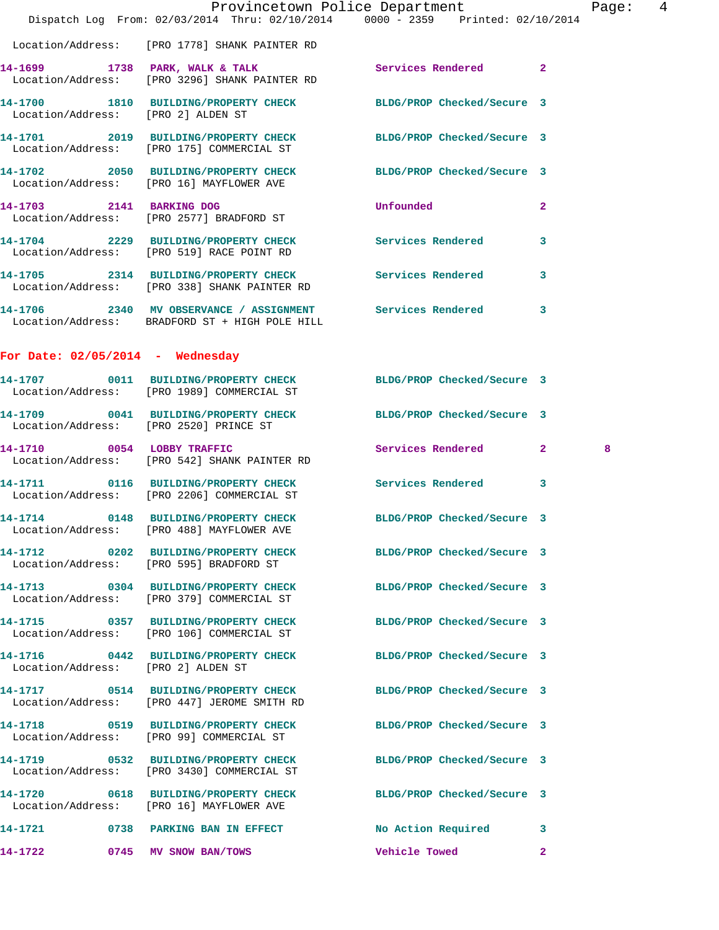|                                    |                                                                                                                | Provincetown Police Department |              | Page:  4 |  |
|------------------------------------|----------------------------------------------------------------------------------------------------------------|--------------------------------|--------------|----------|--|
|                                    | Dispatch Log From: 02/03/2014 Thru: 02/10/2014 0000 - 2359 Printed: 02/10/2014                                 |                                |              |          |  |
|                                    | Location/Address: [PRO 1778] SHANK PAINTER RD                                                                  |                                |              |          |  |
|                                    | 14-1699 1738 PARK, WALK & TALK 1988 Services Rendered 2<br>Location/Address: [PRO 3296] SHANK PAINTER RD       |                                |              |          |  |
| Location/Address: [PRO 2] ALDEN ST | 14-1700 1810 BUILDING/PROPERTY CHECK BLDG/PROP Checked/Secure 3                                                |                                |              |          |  |
|                                    | 14-1701 2019 BUILDING/PROPERTY CHECK BLDG/PROP Checked/Secure 3<br>Location/Address: [PRO 175] COMMERCIAL ST   |                                |              |          |  |
|                                    | 14-1702 2050 BUILDING/PROPERTY CHECK BLDG/PROP Checked/Secure 3<br>Location/Address: [PRO 16] MAYFLOWER AVE    |                                |              |          |  |
|                                    | 14-1703 2141 BARKING DOG<br>Location/Address: [PRO 2577] BRADFORD ST                                           | <b>Unfounded</b>               | $\mathbf{2}$ |          |  |
|                                    | 14-1704 2229 BUILDING/PROPERTY CHECK Services Rendered<br>Location/Address: [PRO 519] RACE POINT RD            |                                | 3            |          |  |
|                                    | 14-1705 2314 BUILDING/PROPERTY CHECK Services Rendered<br>Location/Address: [PRO 338] SHANK PAINTER RD         |                                | 3            |          |  |
|                                    | 14-1706 2340 MV OBSERVANCE / ASSIGNMENT Services Rendered 3<br>Location/Address: BRADFORD ST + HIGH POLE HILL  |                                |              |          |  |
| For Date: $02/05/2014$ - Wednesday |                                                                                                                |                                |              |          |  |
|                                    | 14-1707 0011 BUILDING/PROPERTY CHECK BLDG/PROP Checked/Secure 3<br>Location/Address: [PRO 1989] COMMERCIAL ST  |                                |              |          |  |
|                                    | 14-1709 0041 BUILDING/PROPERTY CHECK BLDG/PROP Checked/Secure 3<br>Location/Address: [PRO 2520] PRINCE ST      |                                |              |          |  |
| 14-1710 0054 LOBBY TRAFFIC         | Location/Address: [PRO 542] SHANK PAINTER RD                                                                   | Services Rendered 2            |              | 8        |  |
|                                    | 14-1711 0116 BUILDING/PROPERTY CHECK Services Rendered<br>Location/Address: [PRO 2206] COMMERCIAL ST           |                                | 3            |          |  |
|                                    | 14-1714 0148 BUILDING/PROPERTY CHECK BLDG/PROP Checked/Secure 3<br>Location/Address: [PRO 488] MAYFLOWER AVE   |                                |              |          |  |
|                                    | 14-1712 0202 BUILDING/PROPERTY CHECK BLDG/PROP Checked/Secure 3<br>Location/Address: [PRO 595] BRADFORD ST     |                                |              |          |  |
|                                    | 14-1713 0304 BUILDING/PROPERTY CHECK BLDG/PROP Checked/Secure 3<br>Location/Address: [PRO 379] COMMERCIAL ST   |                                |              |          |  |
|                                    | 14-1715 0357 BUILDING/PROPERTY CHECK BLDG/PROP Checked/Secure 3<br>Location/Address: [PRO 106] COMMERCIAL ST   |                                |              |          |  |
| Location/Address: [PRO 2] ALDEN ST | 14-1716 0442 BUILDING/PROPERTY CHECK BLDG/PROP Checked/Secure 3                                                |                                |              |          |  |
|                                    | 14-1717 0514 BUILDING/PROPERTY CHECK BLDG/PROP Checked/Secure 3<br>Location/Address: [PRO 447] JEROME SMITH RD |                                |              |          |  |
|                                    | 14-1718 0519 BUILDING/PROPERTY CHECK<br>Location/Address: [PRO 99] COMMERCIAL ST                               | BLDG/PROP Checked/Secure 3     |              |          |  |
|                                    | 14-1719 0532 BUILDING/PROPERTY CHECK<br>Location/Address: [PRO 3430] COMMERCIAL ST                             | BLDG/PROP Checked/Secure 3     |              |          |  |
|                                    | 14-1720 0618 BUILDING/PROPERTY CHECK BLDG/PROP Checked/Secure 3<br>Location/Address: [PRO 16] MAYFLOWER AVE    |                                |              |          |  |
|                                    | 14-1721 0738 PARKING BAN IN EFFECT                                                                             | No Action Required 3           |              |          |  |
|                                    | 14-1722 0745 MV SNOW BAN/TOWS 5 12 Vehicle Towed 2                                                             |                                |              |          |  |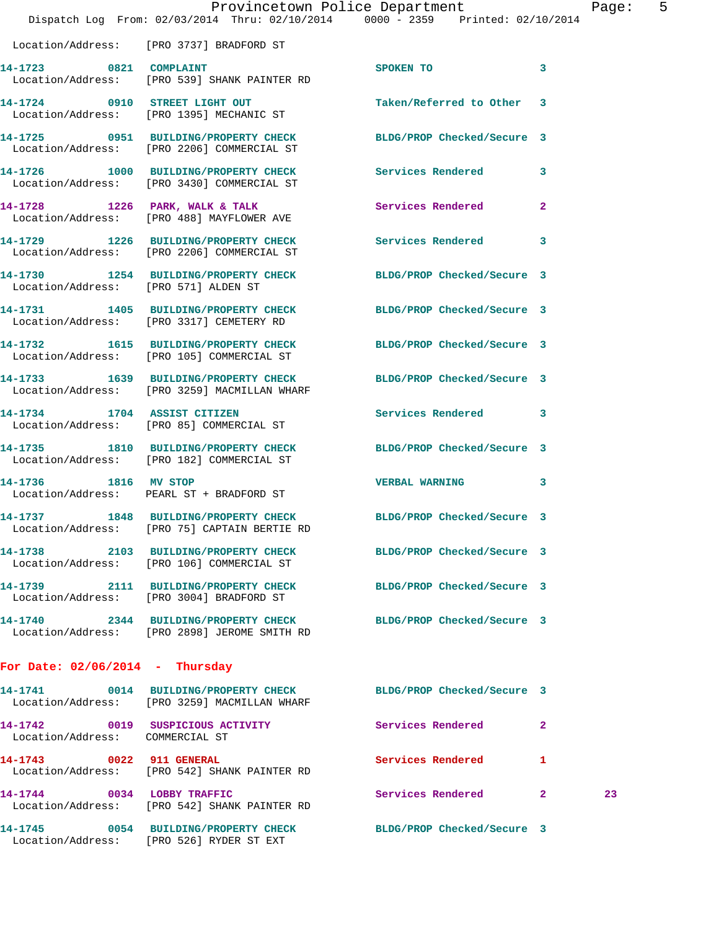|                                   |                                                                                                                 | Provincetown Police Department |              | 5<br>Page: |
|-----------------------------------|-----------------------------------------------------------------------------------------------------------------|--------------------------------|--------------|------------|
|                                   | Dispatch Log From: 02/03/2014 Thru: 02/10/2014 0000 - 2359 Printed: 02/10/2014                                  |                                |              |            |
|                                   | Location/Address: [PRO 3737] BRADFORD ST                                                                        |                                |              |            |
|                                   | 14-1723 0821 COMPLAINT<br>Location/Address: [PRO 539] SHANK PAINTER RD                                          | SPOKEN TO 3                    |              |            |
|                                   | 14-1724 0910 STREET LIGHT OUT<br>Location/Address: [PRO 1395] MECHANIC ST                                       | Taken/Referred to Other 3      |              |            |
|                                   | 14-1725 0951 BUILDING/PROPERTY CHECK BLDG/PROP Checked/Secure 3<br>Location/Address: [PRO 2206] COMMERCIAL ST   |                                |              |            |
|                                   | 14-1726 1000 BUILDING/PROPERTY CHECK Services Rendered 3<br>Location/Address: [PRO 3430] COMMERCIAL ST          |                                |              |            |
|                                   | 14-1728 1226 PARK, WALK & TALK Services Rendered<br>Location/Address: [PRO 488] MAYFLOWER AVE                   |                                | $\mathbf{2}$ |            |
|                                   | 14-1729 1226 BUILDING/PROPERTY CHECK Services Rendered 3<br>Location/Address: [PRO 2206] COMMERCIAL ST          |                                |              |            |
|                                   | 14-1730 1254 BUILDING/PROPERTY CHECK BLDG/PROP Checked/Secure 3<br>Location/Address: [PRO 571] ALDEN ST         |                                |              |            |
|                                   | 14-1731 1405 BUILDING/PROPERTY CHECK BLDG/PROP Checked/Secure 3<br>Location/Address: [PRO 3317] CEMETERY RD     |                                |              |            |
|                                   | 14-1732 1615 BUILDING/PROPERTY CHECK BLDG/PROP Checked/Secure 3<br>Location/Address: [PRO 105] COMMERCIAL ST    |                                |              |            |
|                                   | 14-1733 1639 BUILDING/PROPERTY CHECK BLDG/PROP Checked/Secure 3<br>Location/Address: [PRO 3259] MACMILLAN WHARF |                                |              |            |
|                                   | 14-1734 1704 ASSIST CITIZEN<br>Location/Address: [PRO 85] COMMERCIAL ST                                         | Services Rendered 3            |              |            |
|                                   | 14-1735 1810 BUILDING/PROPERTY CHECK BLDG/PROP Checked/Secure 3<br>Location/Address: [PRO 182] COMMERCIAL ST    |                                |              |            |
|                                   | 14-1736 1816 MV STOP<br>Location/Address: PEARL ST + BRADFORD ST                                                | VERBAL WARNING 3               |              |            |
|                                   | 14-1737 1848 BUILDING/PROPERTY CHECK BLDG/PROP Checked/Secure 3<br>Location/Address: [PRO 75] CAPTAIN BERTIE RD |                                |              |            |
|                                   | 14-1738 2103 BUILDING/PROPERTY CHECK BLDG/PROP Checked/Secure 3<br>Location/Address: [PRO 106] COMMERCIAL ST    |                                |              |            |
|                                   | 14-1739 2111 BUILDING/PROPERTY CHECK BLDG/PROP Checked/Secure 3<br>Location/Address: [PRO 3004] BRADFORD ST     |                                |              |            |
|                                   | 14-1740 2344 BUILDING/PROPERTY CHECK BLDG/PROP Checked/Secure 3<br>Location/Address: [PRO 2898] JEROME SMITH RD |                                |              |            |
| For Date: $02/06/2014$ - Thursday |                                                                                                                 |                                |              |            |
|                                   | 14-1741 0014 BUILDING/PROPERTY CHECK BLDG/PROP Checked/Secure 3<br>Location/Address: [PRO 3259] MACMILLAN WHARF |                                |              |            |
| Location/Address: COMMERCIAL ST   | 14-1742 0019 SUSPICIOUS ACTIVITY                                                                                | Services Rendered              | $\mathbf{2}$ |            |
|                                   | 14-1743 0022 911 GENERAL<br>Location/Address: [PRO 542] SHANK PAINTER RD                                        | Services Rendered              | 1            |            |
| 14-1744 0034 LOBBY TRAFFIC        | Location/Address: [PRO 542] SHANK PAINTER RD                                                                    | Services Rendered 2            | 23           |            |
|                                   | 14-1745 0054 BUILDING/PROPERTY CHECK BLDG/PROP Checked/Secure 3                                                 |                                |              |            |

Location/Address: [PRO 526] RYDER ST EXT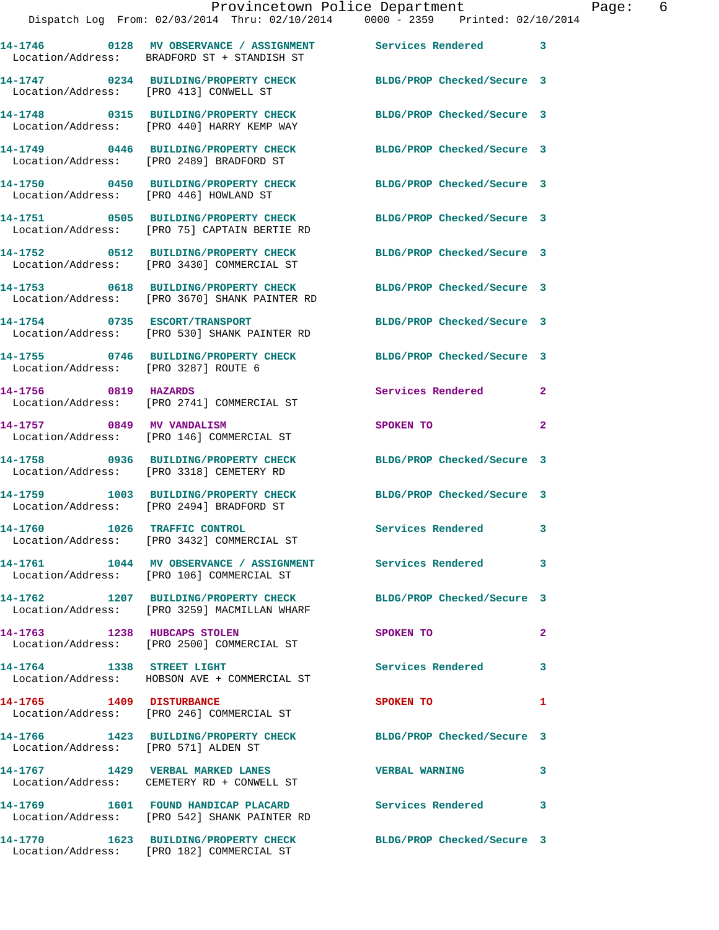**14-1748 0315 BUILDING/PROPERTY CHECK BLDG/PROP Checked/Secure 3**  Location/Address: [PRO 440] HARRY KEMP WAY

Location/Address: [PRO 446] HOWLAND ST

**14-1751 0505 BUILDING/PROPERTY CHECK BLDG/PROP Checked/Secure 3**  Location/Address: [PRO 75] CAPTAIN BERTIE RD

Location/Address: [PRO 3430] COMMERCIAL ST

Location/Address: [PRO 3287] ROUTE 6

Location/Address: [PRO 2494] BRADFORD ST

Location/Address: [PRO 3432] COMMERCIAL ST

**14-1761 1044 MV OBSERVANCE / ASSIGNMENT Services Rendered 3** 

Location/Address: [PRO 571] ALDEN ST

Location/Address: CEMETERY RD + CONWELL ST

**14-1749 0446 BUILDING/PROPERTY CHECK BLDG/PROP Checked/Secure 3**  Location/Address: [PRO 2489] BRADFORD ST

**14-1750 0450 BUILDING/PROPERTY CHECK BLDG/PROP Checked/Secure 3** 

**14-1752 0512 BUILDING/PROPERTY CHECK BLDG/PROP Checked/Secure 3** 

**14-1753 0618 BUILDING/PROPERTY CHECK BLDG/PROP Checked/Secure 3**  Location/Address: [PRO 3670] SHANK PAINTER RD

**14-1754 0735 ESCORT/TRANSPORT BLDG/PROP Checked/Secure 3**  Location/Address: [PRO 530] SHANK PAINTER RD

Location/Address: [PRO 2741] COMMERCIAL ST

Location/Address: [PRO 146] COMMERCIAL ST

Location/Address: [PRO 3318] CEMETERY RD

**14-1760 1026 TRAFFIC CONTROL Services Rendered 3** 

Location/Address: [PRO 106] COMMERCIAL ST

Location/Address: [PRO 3259] MACMILLAN WHARF

Location/Address: [PRO 2500] COMMERCIAL ST

**14-1764 1338 STREET LIGHT Services Rendered 3**  Location/Address: HOBSON AVE + COMMERCIAL ST

Location/Address: [PRO 246] COMMERCIAL ST

**14-1767 1429 VERBAL MARKED LANES VERBAL WARNING 3** 

**14-1769 1601 FOUND HANDICAP PLACARD Services Rendered 3**  Location/Address: [PRO 542] SHANK PAINTER RD

**14-1770 1623 BUILDING/PROPERTY CHECK BLDG/PROP Checked/Secure 3**  Location/Address: [PRO 182] COMMERCIAL ST

**14-1755 0746 BUILDING/PROPERTY CHECK BLDG/PROP Checked/Secure 3** 

**14-1756 0819 HAZARDS Services Rendered 2** 

**14-1757 0849 MV VANDALISM SPOKEN TO 2** 

**14-1758 0936 BUILDING/PROPERTY CHECK BLDG/PROP Checked/Secure 3** 

**14-1759 1003 BUILDING/PROPERTY CHECK BLDG/PROP Checked/Secure 3** 

**14-1762 1207 BUILDING/PROPERTY CHECK BLDG/PROP Checked/Secure 3** 

**14-1763 1238 HUBCAPS STOLEN SPOKEN TO 2** 

**14-1765 1409 DISTURBANCE SPOKEN TO 1** 

**14-1766 1423 BUILDING/PROPERTY CHECK BLDG/PROP Checked/Secure 3**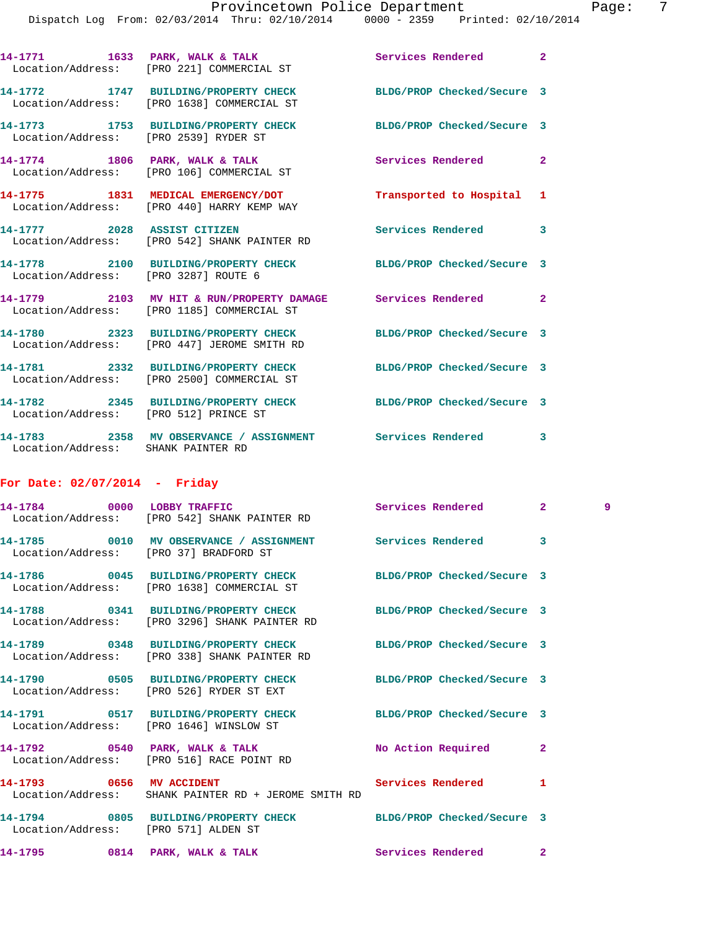|                                        | 14-1771 1633 PARK, WALK & TALK 16 Services Rendered<br>Location/Address: [PRO 221] COMMERCIAL ST                 |                            | $\overline{2}$ |   |
|----------------------------------------|------------------------------------------------------------------------------------------------------------------|----------------------------|----------------|---|
|                                        | 14-1772 1747 BUILDING/PROPERTY CHECK BLDG/PROP Checked/Secure 3<br>Location/Address: [PRO 1638] COMMERCIAL ST    |                            |                |   |
| Location/Address: [PRO 2539] RYDER ST  | 14-1773 1753 BUILDING/PROPERTY CHECK BLDG/PROP Checked/Secure 3                                                  |                            |                |   |
|                                        | 14-1774 1806 PARK, WALK & TALK<br>Location/Address: [PRO 106] COMMERCIAL ST                                      | Services Rendered          | $\mathbf{2}$   |   |
|                                        | 14-1775 1831 MEDICAL EMERGENCY/DOT<br>Location/Address: [PRO 440] HARRY KEMP WAY                                 | Transported to Hospital    | 1              |   |
|                                        | 14-1777 2028 ASSIST CITIZEN<br>Location/Address: [PRO 542] SHANK PAINTER RD                                      | Services Rendered          | 3              |   |
| Location/Address: [PRO 3287] ROUTE 6   | 14-1778 2100 BUILDING/PROPERTY CHECK BLDG/PROP Checked/Secure 3                                                  |                            |                |   |
|                                        | 14-1779 2103 MV HIT & RUN/PROPERTY DAMAGE Services Rendered<br>Location/Address: [PRO 1185] COMMERCIAL ST        |                            | $\overline{2}$ |   |
|                                        | 14-1780 2323 BUILDING/PROPERTY CHECK<br>Location/Address: [PRO 447] JEROME SMITH RD                              | BLDG/PROP Checked/Secure 3 |                |   |
|                                        | 14-1781 2332 BUILDING/PROPERTY CHECK BLDG/PROP Checked/Secure 3<br>Location/Address: [PRO 2500] COMMERCIAL ST    |                            |                |   |
| Location/Address: [PRO 512] PRINCE ST  | 14-1782 2345 BUILDING/PROPERTY CHECK BLDG/PROP Checked/Secure 3                                                  |                            |                |   |
| Location/Address: SHANK PAINTER RD     | 14-1783 2358 MV OBSERVANCE / ASSIGNMENT Services Rendered 3                                                      |                            |                |   |
| For Date: $02/07/2014$ - Friday        |                                                                                                                  |                            |                |   |
| 14-1784 0000 LOBBY TRAFFIC             | Location/Address: [PRO 542] SHANK PAINTER RD                                                                     | Services Rendered          | $2^{\circ}$    | 9 |
| Location/Address: [PRO 37] BRADFORD ST | 14-1785 0010 MV OBSERVANCE / ASSIGNMENT Services Rendered                                                        |                            | 3              |   |
|                                        | 14-1786 0045 BUILDING/PROPERTY CHECK<br>Location/Address: [PRO 1638] COMMERCIAL ST                               | BLDG/PROP Checked/Secure 3 |                |   |
|                                        | 14-1788 0341 BUILDING/PROPERTY CHECK BLDG/PROP Checked/Secure 3<br>Location/Address: [PRO 3296] SHANK PAINTER RD |                            |                |   |
|                                        | 14-1789 0348 BUILDING/PROPERTY CHECK<br>Location/Address: [PRO 338] SHANK PAINTER RD                             | BLDG/PROP Checked/Secure 3 |                |   |
|                                        | 14-1790 0505 BUILDING/PROPERTY CHECK<br>Location/Address: [PRO 526] RYDER ST EXT                                 | BLDG/PROP Checked/Secure 3 |                |   |
|                                        | 14-1791 0517 BUILDING/PROPERTY CHECK BLDG/PROP Checked/Secure 3<br>Location/Address: [PRO 1646] WINSLOW ST       |                            |                |   |
|                                        | $14-1792$ 0540 PARK, WALK & TALK<br>Location/Address: [PRO 516] RACE POINT RD                                    | No Action Required         | $\mathbf{2}$   |   |
| 14-1793 0656 MV ACCIDENT               | Location/Address: SHANK PAINTER RD + JEROME SMITH RD                                                             | Services Rendered          | 1              |   |
| Location/Address: [PRO 571] ALDEN ST   | 14-1794 0805 BUILDING/PROPERTY CHECK BLDG/PROP Checked/Secure 3                                                  |                            |                |   |
| 14-1795 0814 PARK, WALK & TALK         |                                                                                                                  | Services Rendered          | $\mathbf{2}$   |   |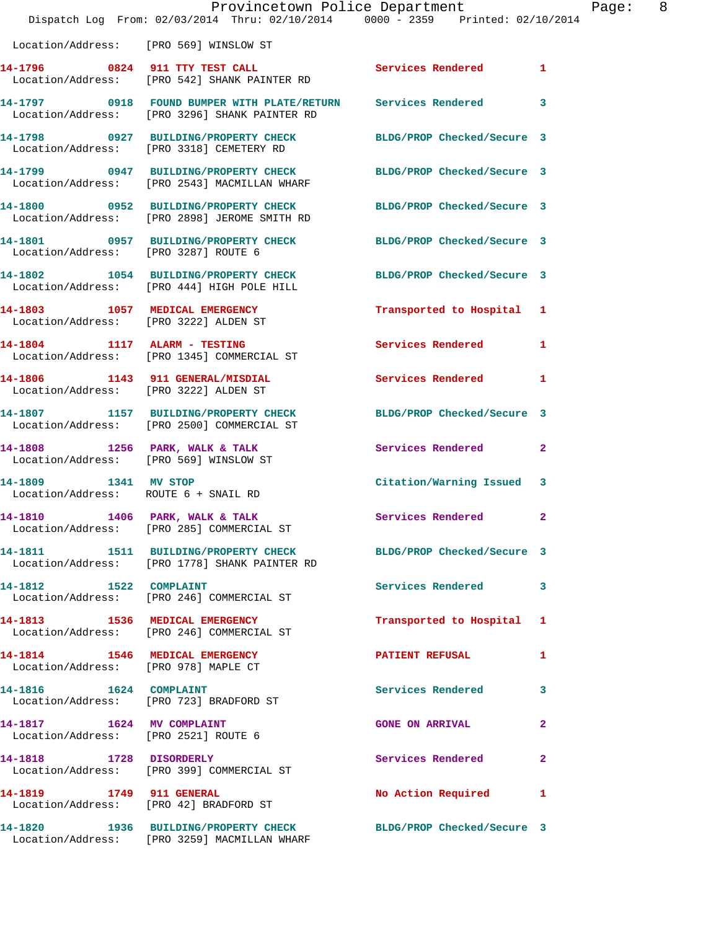|                                                                   | Dispatch Log From: 02/03/2014 Thru: 02/10/2014 0000 - 2359 Printed: 02/10/2014                                   |                                        |              |  |
|-------------------------------------------------------------------|------------------------------------------------------------------------------------------------------------------|----------------------------------------|--------------|--|
|                                                                   | Location/Address: [PRO 569] WINSLOW ST                                                                           |                                        |              |  |
|                                                                   | 14-1796 0824 911 TTY TEST CALL Services Rendered 1<br>Location/Address: [PRO 542] SHANK PAINTER RD               |                                        |              |  |
|                                                                   | 14-1797 0918 FOUND BUMPER WITH PLATE/RETURN Services Rendered 3<br>Location/Address: [PRO 3296] SHANK PAINTER RD |                                        |              |  |
|                                                                   | 14-1798 0927 BUILDING/PROPERTY CHECK BLDG/PROP Checked/Secure 3<br>Location/Address: [PRO 3318] CEMETERY RD      |                                        |              |  |
|                                                                   | 14-1799 0947 BUILDING/PROPERTY CHECK BLDG/PROP Checked/Secure 3<br>Location/Address: [PRO 2543] MACMILLAN WHARF  |                                        |              |  |
|                                                                   | 14-1800 0952 BUILDING/PROPERTY CHECK BLDG/PROP Checked/Secure 3<br>Location/Address: [PRO 2898] JEROME SMITH RD  |                                        |              |  |
| Location/Address: [PRO 3287] ROUTE 6                              | 14-1801 0957 BUILDING/PROPERTY CHECK BLDG/PROP Checked/Secure 3                                                  |                                        |              |  |
|                                                                   | 14-1802 1054 BUILDING/PROPERTY CHECK BLDG/PROP Checked/Secure 3<br>Location/Address: [PRO 444] HIGH POLE HILL    |                                        |              |  |
|                                                                   | 14-1803 1057 MEDICAL EMERGENCY<br>Location/Address: [PRO 3222] ALDEN ST                                          | Transported to Hospital 1              |              |  |
|                                                                   | 14-1804 1117 ALARM - TESTING<br>Location/Address: [PRO 1345] COMMERCIAL ST                                       | Services Rendered 1                    |              |  |
|                                                                   | 14-1806 1143 911 GENERAL/MISDIAL<br>Location/Address: [PRO 3222] ALDEN ST                                        | Services Rendered                      | $\mathbf{1}$ |  |
|                                                                   | 14-1807 1157 BUILDING/PROPERTY CHECK BLDG/PROP Checked/Secure 3<br>Location/Address: [PRO 2500] COMMERCIAL ST    |                                        |              |  |
|                                                                   | 14-1808 1256 PARK, WALK & TALK<br>Location/Address: [PRO 569] WINSLOW ST                                         | Services Rendered 2                    |              |  |
| 14-1809 1341 MV STOP<br>Location/Address: ROUTE 6 + SNAIL RD      |                                                                                                                  | Citation/Warning Issued 3              |              |  |
| 14-1810 1406 PARK, WALK & TALK                                    | Location/Address: [PRO 285] COMMERCIAL ST                                                                        | <b>Services Rendered 22 Services</b> 2 |              |  |
|                                                                   | 14-1811 1511 BUILDING/PROPERTY CHECK BLDG/PROP Checked/Secure 3<br>Location/Address: [PRO 1778] SHANK PAINTER RD |                                        |              |  |
| 14-1812 1522 COMPLAINT                                            | Location/Address: [PRO 246] COMMERCIAL ST                                                                        | Services Rendered 3                    |              |  |
|                                                                   | 14-1813 1536 MEDICAL EMERGENCY<br>Location/Address: [PRO 246] COMMERCIAL ST                                      | Transported to Hospital 1              |              |  |
| Location/Address: [PRO 978] MAPLE CT                              | 14-1814 1546 MEDICAL EMERGENCY                                                                                   | <b>PATIENT REFUSAL</b>                 | 1            |  |
|                                                                   | 14-1816    1624    COMPLAINT<br>Location/Address: [PRO 723] BRADFORD ST                                          | Services Rendered                      | 3            |  |
| 14-1817 1624 MV COMPLAINT<br>Location/Address: [PRO 2521] ROUTE 6 |                                                                                                                  | <b>GONE ON ARRIVAL</b>                 | $\mathbf{2}$ |  |
|                                                                   | 14-1818 1728 DISORDERLY<br>Location/Address: [PRO 399] COMMERCIAL ST                                             | Services Rendered                      | 2            |  |
|                                                                   | 14-1819 1749 911 GENERAL<br>Location/Address: [PRO 42] BRADFORD ST                                               | No Action Required                     | 1            |  |
|                                                                   | 14-1820 1936 BUILDING/PROPERTY CHECK BLDG/PROP Checked/Secure 3<br>Location/Address: [PRO 3259] MACMILLAN WHARF  |                                        |              |  |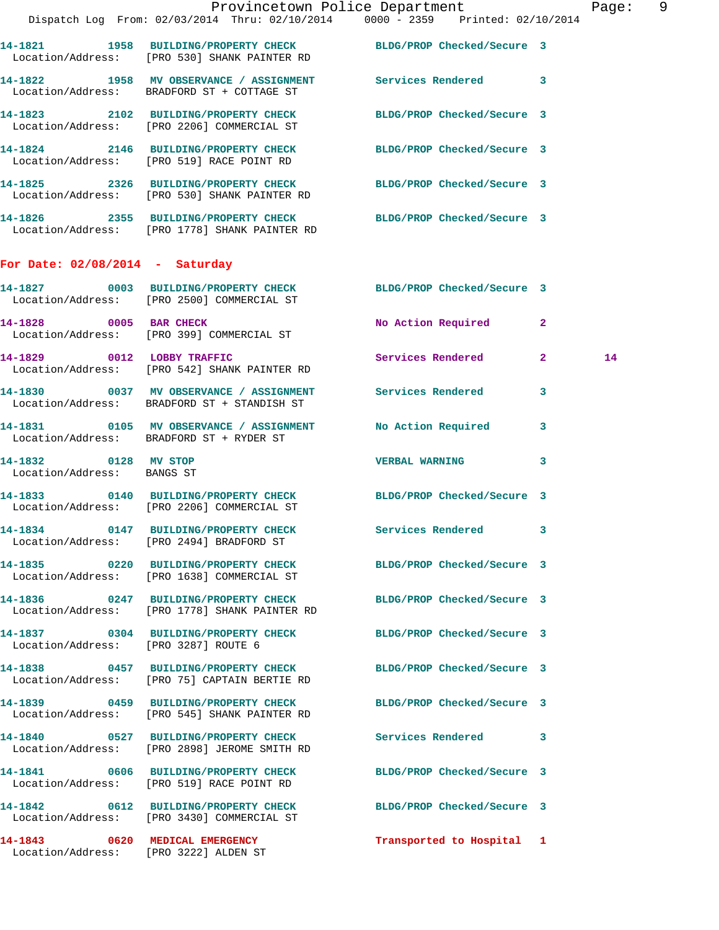|                                                    | Provincetown Police Department<br>Dispatch Log From: 02/03/2014 Thru: 02/10/2014 0000 - 2359 Printed: 02/10/2014  |                            |              | Page: 9 |  |
|----------------------------------------------------|-------------------------------------------------------------------------------------------------------------------|----------------------------|--------------|---------|--|
|                                                    | 14-1821 1958 BUILDING/PROPERTY CHECK BLDG/PROP Checked/Secure 3<br>  Location/Address: [PRO 530] SHANK PAINTER RD |                            |              |         |  |
|                                                    | 14-1822 1958 MV OBSERVANCE / ASSIGNMENT Services Rendered 3<br>Location/Address: BRADFORD ST + COTTAGE ST         |                            |              |         |  |
|                                                    | 14-1823 2102 BUILDING/PROPERTY CHECK BLDG/PROP Checked/Secure 3<br>Location/Address: [PRO 2206] COMMERCIAL ST     |                            |              |         |  |
|                                                    | 14-1824 2146 BUILDING/PROPERTY CHECK BLDG/PROP Checked/Secure 3<br>Location/Address: [PRO 519] RACE POINT RD      |                            |              |         |  |
|                                                    | 14-1825 2326 BUILDING/PROPERTY CHECK BLDG/PROP Checked/Secure 3<br>Location/Address: [PRO 530] SHANK PAINTER RD   |                            |              |         |  |
|                                                    | 14-1826 2355 BUILDING/PROPERTY CHECK BLDG/PROP Checked/Secure 3<br>Location/Address: [PRO 1778] SHANK PAINTER RD  |                            |              |         |  |
| For Date: $02/08/2014$ - Saturday                  |                                                                                                                   |                            |              |         |  |
|                                                    | 14-1827 0003 BUILDING/PROPERTY CHECK BLDG/PROP Checked/Secure 3<br>Location/Address: [PRO 2500] COMMERCIAL ST     |                            |              |         |  |
|                                                    | 14-1828 0005 BAR CHECK<br>Location/Address: [PRO 399] COMMERCIAL ST                                               | No Action Required 2       |              |         |  |
| 14-1829 0012 LOBBY TRAFFIC                         | Location/Address: [PRO 542] SHANK PAINTER RD                                                                      | Services Rendered 2        |              | 14      |  |
|                                                    | 14-1830 0037 MV OBSERVANCE / ASSIGNMENT Services Rendered<br>Location/Address: BRADFORD ST + STANDISH ST          |                            | $\mathbf{3}$ |         |  |
|                                                    | 14-1831 0105 MV OBSERVANCE / ASSIGNMENT No Action Required 3<br>Location/Address: BRADFORD ST + RYDER ST          |                            |              |         |  |
| 14-1832 0128 MV STOP<br>Location/Address: BANGS ST |                                                                                                                   | <b>VERBAL WARNING</b>      | $\mathbf{3}$ |         |  |
|                                                    | 14-1833 0140 BUILDING/PROPERTY CHECK BLDG/PROP Checked/Secure 3<br>Location/Address: [PRO 2206] COMMERCIAL ST     |                            |              |         |  |
|                                                    | 14-1834 0147 BUILDING/PROPERTY CHECK<br>Location/Address: [PRO 2494] BRADFORD ST                                  | Services Rendered 3        |              |         |  |
|                                                    | 14-1835 0220 BUILDING/PROPERTY CHECK<br>Location/Address: [PRO 1638] COMMERCIAL ST                                | BLDG/PROP Checked/Secure 3 |              |         |  |
|                                                    | 14-1836 0247 BUILDING/PROPERTY CHECK<br>Location/Address: [PRO 1778] SHANK PAINTER RD                             | BLDG/PROP Checked/Secure 3 |              |         |  |
| Location/Address: [PRO 3287] ROUTE 6               | 14-1837 0304 BUILDING/PROPERTY CHECK BLDG/PROP Checked/Secure 3                                                   |                            |              |         |  |
|                                                    | 14-1838 0457 BUILDING/PROPERTY CHECK<br>Location/Address: [PRO 75] CAPTAIN BERTIE RD                              | BLDG/PROP Checked/Secure 3 |              |         |  |
|                                                    | 14-1839 0459 BUILDING/PROPERTY CHECK<br>Location/Address: [PRO 545] SHANK PAINTER RD                              | BLDG/PROP Checked/Secure 3 |              |         |  |
|                                                    | 14-1840 0527 BUILDING/PROPERTY CHECK<br>Location/Address: [PRO 2898] JEROME SMITH RD                              | <b>Services Rendered</b>   | $\mathbf{3}$ |         |  |
|                                                    | 14-1841 0606 BUILDING/PROPERTY CHECK<br>Location/Address: [PRO 519] RACE POINT RD                                 | BLDG/PROP Checked/Secure 3 |              |         |  |
|                                                    | 14-1842 0612 BUILDING/PROPERTY CHECK<br>Location/Address: [PRO 3430] COMMERCIAL ST                                | BLDG/PROP Checked/Secure 3 |              |         |  |
| 14-1843 0620 MEDICAL EMERGENCY                     |                                                                                                                   | Transported to Hospital 1  |              |         |  |

Location/Address: [PRO 3222] ALDEN ST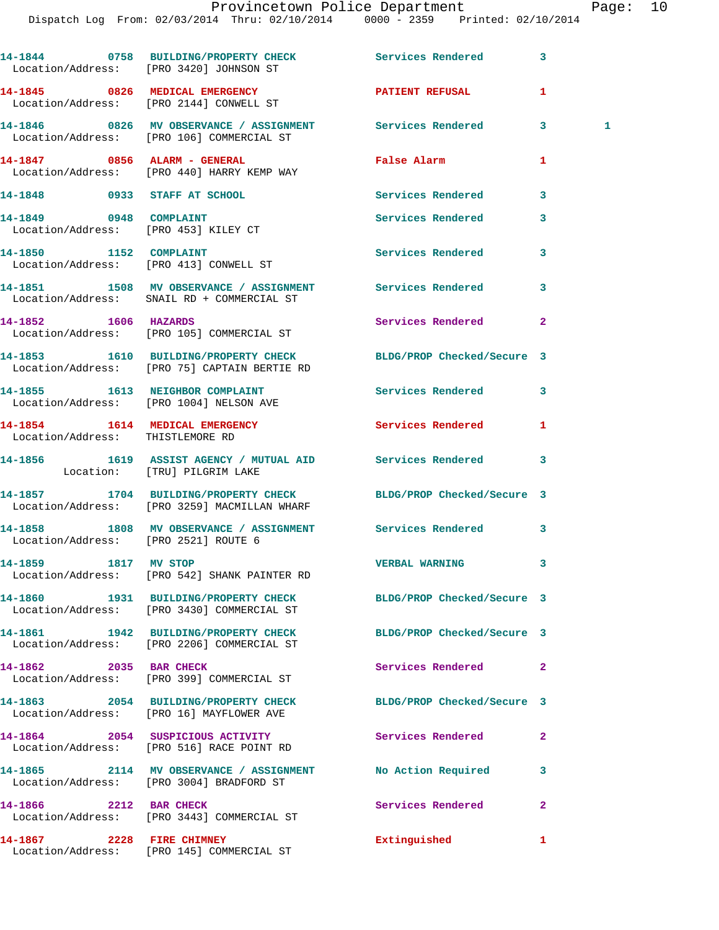|                                                                | 14-1844 0758 BUILDING/PROPERTY CHECK Services Rendered<br>Location/Address: [PRO 3420] JOHNSON ST       |                            | 3              |
|----------------------------------------------------------------|---------------------------------------------------------------------------------------------------------|----------------------------|----------------|
|                                                                | 14-1845 0826 MEDICAL EMERGENCY<br>Location/Address: [PRO 2144] CONWELL ST                               | <b>PATIENT REFUSAL</b>     | 1              |
|                                                                | 14-1846 6826 MV OBSERVANCE / ASSIGNMENT Services Rendered<br>Location/Address: [PRO 106] COMMERCIAL ST  |                            | 3<br>1         |
| 14-1847 0856 ALARM - GENERAL                                   | Location/Address: [PRO 440] HARRY KEMP WAY                                                              | False Alarm                | 1              |
| 14-1848 0933 STAFF AT SCHOOL                                   |                                                                                                         | <b>Services Rendered</b>   | 3              |
| 14-1849 0948 COMPLAINT<br>Location/Address: [PRO 453] KILEY CT |                                                                                                         | Services Rendered          | 3              |
| 14-1850 1152 COMPLAINT                                         | Location/Address: [PRO 413] CONWELL ST                                                                  | <b>Services Rendered</b>   | 3              |
|                                                                | 14-1851 1508 MV OBSERVANCE / ASSIGNMENT Services Rendered<br>Location/Address: SNAIL RD + COMMERCIAL ST |                            | 3              |
| 14-1852 1606 HAZARDS                                           | Location/Address: [PRO 105] COMMERCIAL ST                                                               | Services Rendered          | $\mathbf{2}$   |
|                                                                | 14-1853 1610 BUILDING/PROPERTY CHECK<br>Location/Address: [PRO 75] CAPTAIN BERTIE RD                    | BLDG/PROP Checked/Secure 3 |                |
|                                                                | 14-1855 1613 NEIGHBOR COMPLAINT<br>Location/Address: [PRO 1004] NELSON AVE                              | Services Rendered          | 3              |
| Location/Address: THISTLEMORE RD                               | 14-1854 1614 MEDICAL EMERGENCY                                                                          | <b>Services Rendered</b>   | 1              |
|                                                                | 14-1856 1619 ASSIST AGENCY / MUTUAL AID Services Rendered<br>Location: [TRU] PILGRIM LAKE               |                            | 3              |
|                                                                | 14-1857 1704 BUILDING/PROPERTY CHECK<br>Location/Address: [PRO 3259] MACMILLAN WHARF                    | BLDG/PROP Checked/Secure 3 |                |
| Location/Address: [PRO 2521] ROUTE 6                           | 14-1858 1808 MV OBSERVANCE / ASSIGNMENT Services Rendered                                               |                            | 3              |
| 14-1859 1817 MV STOP                                           | Location/Address: [PRO 542] SHANK PAINTER RD                                                            | <b>VERBAL WARNING</b>      | 3              |
|                                                                | 14-1860 1931 BUILDING/PROPERTY CHECK<br>Location/Address: [PRO 3430] COMMERCIAL ST                      | BLDG/PROP Checked/Secure 3 |                |
|                                                                | 14-1861 1942 BUILDING/PROPERTY CHECK<br>Location/Address: [PRO 2206] COMMERCIAL ST                      | BLDG/PROP Checked/Secure 3 |                |
| 14-1862 2035 BAR CHECK                                         | Location/Address: [PRO 399] COMMERCIAL ST                                                               | Services Rendered          | $\mathbf{2}$   |
|                                                                | 14-1863 2054 BUILDING/PROPERTY CHECK<br>Location/Address: [PRO 16] MAYFLOWER AVE                        | BLDG/PROP Checked/Secure 3 |                |
|                                                                | 14-1864 2054 SUSPICIOUS ACTIVITY<br>Location/Address: [PRO 516] RACE POINT RD                           | Services Rendered          | $\overline{a}$ |
|                                                                | 14-1865 2114 MV OBSERVANCE / ASSIGNMENT No Action Required<br>Location/Address: [PRO 3004] BRADFORD ST  |                            | 3              |
| 14-1866 2212 BAR CHECK                                         | Location/Address: [PRO 3443] COMMERCIAL ST                                                              | Services Rendered          | $\mathbf{2}$   |
| 14-1867 2228 FIRE CHIMNEY                                      |                                                                                                         | Extinguished               | 1.             |

Location/Address: [PRO 145] COMMERCIAL ST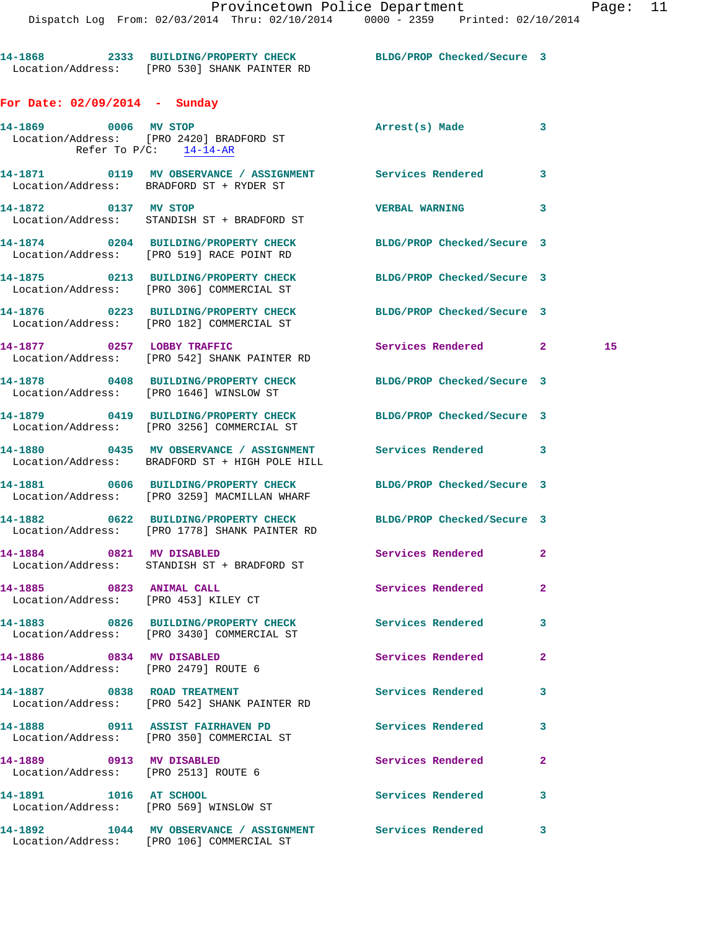**14-1868 2333 BUILDING/PROPERTY CHECK BLDG/PROP Checked/Secure 3**  Location/Address: [PRO 530] SHANK PAINTER RD **For Date: 02/09/2014 - Sunday 14-1869 0006 MV STOP Arrest(s) Made 3** 

 Location/Address: [PRO 2420] BRADFORD ST Refer To P/C: 14-14-AR **14-1871 0119 MV OBSERVANCE / ASSIGNMENT Services Rendered 3**  Location/Address: BRADFORD ST + RYDER ST **14-1872 0137 MV STOP VERBAL WARNING 3**  Location/Address: STANDISH ST + BRADFORD ST **14-1874 0204 BUILDING/PROPERTY CHECK BLDG/PROP Checked/Secure 3**  Location/Address: [PRO 519] RACE POINT RD **14-1875 0213 BUILDING/PROPERTY CHECK BLDG/PROP Checked/Secure 3**  Location/Address: [PRO 306] COMMERCIAL ST **14-1876 0223 BUILDING/PROPERTY CHECK BLDG/PROP Checked/Secure 3**  Location/Address: [PRO 182] COMMERCIAL ST **14-1877 0257 LOBBY TRAFFIC Services Rendered 2 15**  Location/Address: [PRO 542] SHANK PAINTER RD **14-1878 0408 BUILDING/PROPERTY CHECK BLDG/PROP Checked/Secure 3**  Location/Address: [PRO 1646] WINSLOW ST **14-1879 0419 BUILDING/PROPERTY CHECK BLDG/PROP Checked/Secure 3**  Location/Address: [PRO 3256] COMMERCIAL ST **14-1880 0435 MV OBSERVANCE / ASSIGNMENT Services Rendered 3**  Location/Address: BRADFORD ST + HIGH POLE HILL **14-1881 0606 BUILDING/PROPERTY CHECK BLDG/PROP Checked/Secure 3**  Location/Address: [PRO 3259] MACMILLAN WHARF **14-1882 0622 BUILDING/PROPERTY CHECK BLDG/PROP Checked/Secure 3**  Location/Address: [PRO 1778] SHANK PAINTER RD **14-1884 0821 MV DISABLED Services Rendered 2**  Location/Address: STANDISH ST + BRADFORD ST **14-1885 0823 ANIMAL CALL Services Rendered 2**  Location/Address: [PRO 453] KILEY CT **14-1883 0826 BUILDING/PROPERTY CHECK Services Rendered 3**  Location/Address: [PRO 3430] COMMERCIAL ST **14-1886 0834 MV DISABLED Services Rendered 2**  Location/Address: [PRO 2479] ROUTE 6 **14-1887 0838 ROAD TREATMENT Services Rendered 3**  Location/Address: [PRO 542] SHANK PAINTER RD **14-1888 0911 ASSIST FAIRHAVEN PD Services Rendered 3**  Location/Address: [PRO 350] COMMERCIAL ST **14-1889 0913 MV DISABLED Services Rendered 2**  Location/Address: [PRO 2513] ROUTE 6 **14-1891 1016 AT SCHOOL Services Rendered 3**  Location/Address: [PRO 569] WINSLOW ST **14-1892 1044 MV OBSERVANCE / ASSIGNMENT Services Rendered 3**  Location/Address: [PRO 106] COMMERCIAL ST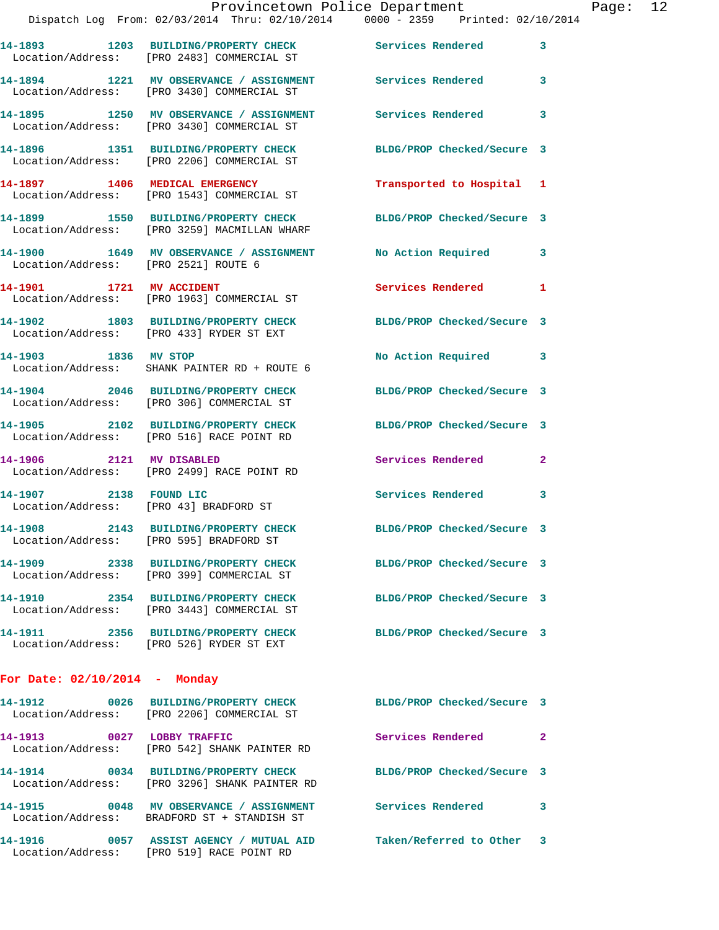|                                         | Provincetown Police Department                                                                                  |                            |                |
|-----------------------------------------|-----------------------------------------------------------------------------------------------------------------|----------------------------|----------------|
|                                         | Dispatch Log From: 02/03/2014 Thru: 02/10/2014 0000 - 2359 Printed: 02/10/2014                                  |                            |                |
|                                         | 14-1893 1203 BUILDING/PROPERTY CHECK Services Rendered<br>Location/Address: [PRO 2483] COMMERCIAL ST            |                            | 3              |
|                                         | 14-1894 1221 MV OBSERVANCE / ASSIGNMENT Services Rendered<br>Location/Address: [PRO 3430] COMMERCIAL ST         |                            | 3              |
|                                         | 14-1895 1250 MV OBSERVANCE / ASSIGNMENT Services Rendered<br>Location/Address: [PRO 3430] COMMERCIAL ST         |                            | 3              |
|                                         | 14-1896 1351 BUILDING/PROPERTY CHECK<br>Location/Address: [PRO 2206] COMMERCIAL ST                              | BLDG/PROP Checked/Secure 3 |                |
|                                         | 14-1897 1406 MEDICAL EMERGENCY<br>Location/Address: [PRO 1543] COMMERCIAL ST                                    | Transported to Hospital 1  |                |
|                                         | 14-1899 1550 BUILDING/PROPERTY CHECK BLDG/PROP Checked/Secure 3<br>Location/Address: [PRO 3259] MACMILLAN WHARF |                            |                |
| Location/Address: [PRO 2521] ROUTE 6    | 14-1900 1649 MV OBSERVANCE / ASSIGNMENT                                                                         | No Action Required         | 3              |
| 14-1901 1721 MV ACCIDENT                | Location/Address: [PRO 1963] COMMERCIAL ST                                                                      | <b>Services Rendered</b>   | 1              |
|                                         | 14-1902 1803 BUILDING/PROPERTY CHECK BLDG/PROP Checked/Secure 3<br>Location/Address: [PRO 433] RYDER ST EXT     |                            |                |
| 14-1903 1836 MV STOP                    | Location/Address: SHANK PAINTER RD + ROUTE 6                                                                    | No Action Required         | 3              |
|                                         | 14-1904 2046 BUILDING/PROPERTY CHECK<br>Location/Address: [PRO 306] COMMERCIAL ST                               | BLDG/PROP Checked/Secure 3 |                |
|                                         | 14-1905 2102 BUILDING/PROPERTY CHECK<br>Location/Address: [PRO 516] RACE POINT RD                               | BLDG/PROP Checked/Secure 3 |                |
|                                         | 14-1906 2121 MV DISABLED<br>Location/Address: [PRO 2499] RACE POINT RD                                          | <b>Services Rendered</b>   | $\overline{a}$ |
| 14-1907 2138 FOUND LIC                  | Location/Address: [PRO 43] BRADFORD ST                                                                          | <b>Services Rendered</b>   | 3              |
| Location/Address: [PRO 595] BRADFORD ST | 14-1908 2143 BUILDING/PROPERTY CHECK                                                                            | BLDG/PROP Checked/Secure 3 |                |
|                                         | 14-1909 2338 BUILDING/PROPERTY CHECK<br>Location/Address: [PRO 399] COMMERCIAL ST                               | BLDG/PROP Checked/Secure 3 |                |
|                                         | 14-1910 2354 BUILDING/PROPERTY CHECK<br>Location/Address: [PRO 3443] COMMERCIAL ST                              | BLDG/PROP Checked/Secure 3 |                |
|                                         | 14-1911 2356 BUILDING/PROPERTY CHECK<br>Location/Address: [PRO 526] RYDER ST EXT                                | BLDG/PROP Checked/Secure 3 |                |
| For Date: 02/10/2014 - Monday           |                                                                                                                 |                            |                |
| 14-1912                                 | 0026 BUILDING/PROPERTY CHECK<br>Location/Address: [PRO 2206] COMMERCIAL ST                                      | BLDG/PROP Checked/Secure 3 |                |
| 14-1913 0027 LOBBY TRAFFIC              | Location/Address: [PRO 542] SHANK PAINTER RD                                                                    | <b>Services Rendered</b>   | 2              |
| 14-1914                                 | 0034 BUILDING/PROPERTY CHECK<br>Location/Address: [PRO 3296] SHANK PAINTER RD                                   | BLDG/PROP Checked/Secure 3 |                |

Location/Address: BRADFORD ST + STANDISH ST

Location/Address: [PRO 519] RACE POINT RD

**14-1915 0048 MV OBSERVANCE / ASSIGNMENT Services Rendered 3** 

**14-1916 0057 ASSIST AGENCY / MUTUAL AID Taken/Referred to Other 3** 

Page: 12